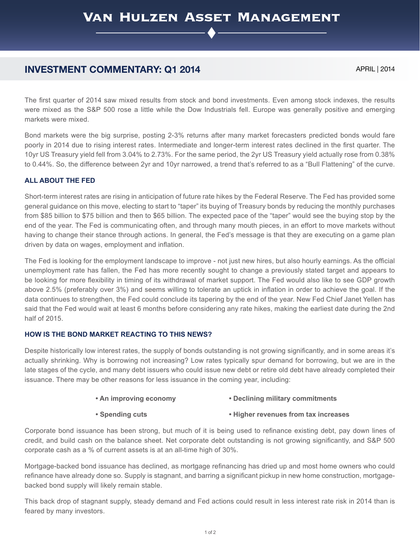# **INVESTMENT COMMENTARY: Q1 2014** APRIL | 2014

The first quarter of 2014 saw mixed results from stock and bond investments. Even among stock indexes, the results were mixed as the S&P 500 rose a little while the Dow Industrials fell. Europe was generally positive and emerging markets were mixed.

Bond markets were the big surprise, posting 2-3% returns after many market forecasters predicted bonds would fare poorly in 2014 due to rising interest rates. Intermediate and longer-term interest rates declined in the first quarter. The 10yr US Treasury yield fell from 3.04% to 2.73%. For the same period, the 2yr US Treasury yield actually rose from 0.38% to 0.44%. So, the difference between 2yr and 10yr narrowed, a trend that's referred to as a "Bull Flattening" of the curve.

## **ALL ABOUT THE FED**

Short-term interest rates are rising in anticipation of future rate hikes by the Federal Reserve. The Fed has provided some general guidance on this move, electing to start to "taper" its buying of Treasury bonds by reducing the monthly purchases from \$85 billion to \$75 billion and then to \$65 billion. The expected pace of the "taper" would see the buying stop by the end of the year. The Fed is communicating often, and through many mouth pieces, in an effort to move markets without having to change their stance through actions. In general, the Fed's message is that they are executing on a game plan driven by data on wages, employment and inflation.

The Fed is looking for the employment landscape to improve - not just new hires, but also hourly earnings. As the official unemployment rate has fallen, the Fed has more recently sought to change a previously stated target and appears to be looking for more flexibility in timing of its withdrawal of market support. The Fed would also like to see GDP growth above 2.5% (preferably over 3%) and seems willing to tolerate an uptick in inflation in order to achieve the goal. If the data continues to strengthen, the Fed could conclude its tapering by the end of the year. New Fed Chief Janet Yellen has said that the Fed would wait at least 6 months before considering any rate hikes, making the earliest date during the 2nd half of 2015.

## **HOW IS THE BOND MARKET REACTING TO THIS NEWS?**

Despite historically low interest rates, the supply of bonds outstanding is not growing significantly, and in some areas it's actually shrinking. Why is borrowing not increasing? Low rates typically spur demand for borrowing, but we are in the late stages of the cycle, and many debt issuers who could issue new debt or retire old debt have already completed their issuance. There may be other reasons for less issuance in the coming year, including:

#### **• An improving economy • Declining military commitments**

#### **• Spending cuts • Higher revenues from tax increases**

Corporate bond issuance has been strong, but much of it is being used to refinance existing debt, pay down lines of credit, and build cash on the balance sheet. Net corporate debt outstanding is not growing significantly, and S&P 500 corporate cash as a % of current assets is at an all-time high of 30%.

Mortgage-backed bond issuance has declined, as mortgage refinancing has dried up and most home owners who could refinance have already done so. Supply is stagnant, and barring a significant pickup in new home construction, mortgagebacked bond supply will likely remain stable.

This back drop of stagnant supply, steady demand and Fed actions could result in less interest rate risk in 2014 than is feared by many investors.